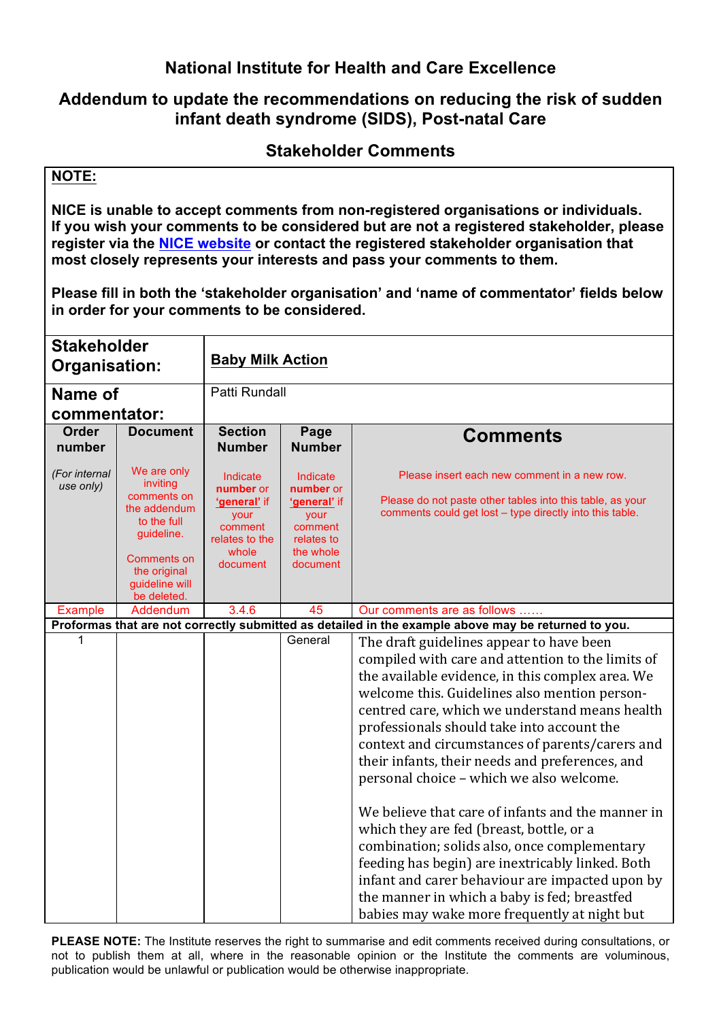# **National Institute for Health and Care Excellence**

## **Addendum to update the recommendations on reducing the risk of sudden infant death syndrome (SIDS), Post-natal Care**

### **Stakeholder Comments**

#### **NOTE:**

**NICE is unable to accept comments from non-registered organisations or individuals. If you wish your comments to be considered but are not a registered stakeholder, please register via the NICE website or contact the registered stakeholder organisation that most closely represents your interests and pass your comments to them.**

**Please fill in both the 'stakeholder organisation' and 'name of commentator' fields below in order for your comments to be considered.**

| <b>Stakeholder</b><br><b>Organisation:</b>                                                          |                                                                                                                                                     | <b>Baby Milk Action</b>                                                                         |                                                                                                 |                                                                                                                                                                                                                                                                                                                                                                                                                                                      |  |
|-----------------------------------------------------------------------------------------------------|-----------------------------------------------------------------------------------------------------------------------------------------------------|-------------------------------------------------------------------------------------------------|-------------------------------------------------------------------------------------------------|------------------------------------------------------------------------------------------------------------------------------------------------------------------------------------------------------------------------------------------------------------------------------------------------------------------------------------------------------------------------------------------------------------------------------------------------------|--|
| Name of                                                                                             |                                                                                                                                                     | Patti Rundall                                                                                   |                                                                                                 |                                                                                                                                                                                                                                                                                                                                                                                                                                                      |  |
| commentator:                                                                                        |                                                                                                                                                     |                                                                                                 |                                                                                                 |                                                                                                                                                                                                                                                                                                                                                                                                                                                      |  |
| <b>Order</b><br>number                                                                              | <b>Document</b>                                                                                                                                     | <b>Section</b><br><b>Number</b>                                                                 | Page<br><b>Number</b>                                                                           | <b>Comments</b>                                                                                                                                                                                                                                                                                                                                                                                                                                      |  |
| (For internal<br>use only)                                                                          | We are only<br>inviting<br>comments on<br>the addendum<br>to the full<br>guideline.<br>Comments on<br>the original<br>guideline will<br>be deleted. | Indicate<br>number or<br>'general' if<br>your<br>comment<br>relates to the<br>whole<br>document | Indicate<br>number or<br>'general' if<br>your<br>comment<br>relates to<br>the whole<br>document | Please insert each new comment in a new row.<br>Please do not paste other tables into this table, as your<br>comments could get lost – type directly into this table.                                                                                                                                                                                                                                                                                |  |
| <b>Example</b>                                                                                      | Addendum                                                                                                                                            | 3.4.6                                                                                           | 45                                                                                              | Our comments are as follows                                                                                                                                                                                                                                                                                                                                                                                                                          |  |
| Proformas that are not correctly submitted as detailed in the example above may be returned to you. |                                                                                                                                                     |                                                                                                 |                                                                                                 |                                                                                                                                                                                                                                                                                                                                                                                                                                                      |  |
| 1                                                                                                   |                                                                                                                                                     |                                                                                                 | General                                                                                         | The draft guidelines appear to have been<br>compiled with care and attention to the limits of<br>the available evidence, in this complex area. We<br>welcome this. Guidelines also mention person-<br>centred care, which we understand means health<br>professionals should take into account the<br>context and circumstances of parents/carers and<br>their infants, their needs and preferences, and<br>personal choice - which we also welcome. |  |
|                                                                                                     |                                                                                                                                                     |                                                                                                 |                                                                                                 | We believe that care of infants and the manner in<br>which they are fed (breast, bottle, or a<br>combination; solids also, once complementary<br>feeding has begin) are inextricably linked. Both<br>infant and carer behaviour are impacted upon by<br>the manner in which a baby is fed; breastfed<br>babies may wake more frequently at night but                                                                                                 |  |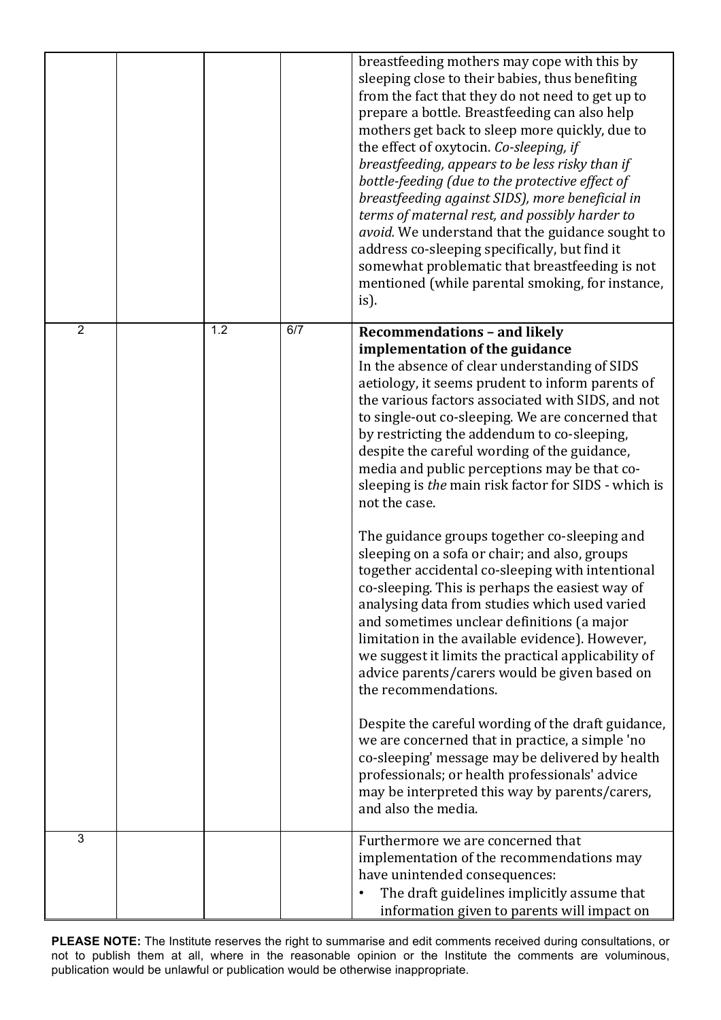|                |     |     | breastfeeding mothers may cope with this by<br>sleeping close to their babies, thus benefiting<br>from the fact that they do not need to get up to<br>prepare a bottle. Breastfeeding can also help<br>mothers get back to sleep more quickly, due to<br>the effect of oxytocin. Co-sleeping, if<br>breastfeeding, appears to be less risky than if<br>bottle-feeding (due to the protective effect of<br>breastfeeding against SIDS), more beneficial in<br>terms of maternal rest, and possibly harder to<br><i>avoid.</i> We understand that the guidance sought to<br>address co-sleeping specifically, but find it<br>somewhat problematic that breastfeeding is not<br>mentioned (while parental smoking, for instance,<br>is). |
|----------------|-----|-----|---------------------------------------------------------------------------------------------------------------------------------------------------------------------------------------------------------------------------------------------------------------------------------------------------------------------------------------------------------------------------------------------------------------------------------------------------------------------------------------------------------------------------------------------------------------------------------------------------------------------------------------------------------------------------------------------------------------------------------------|
| $\overline{2}$ | 1.2 | 6/7 | <b>Recommendations - and likely</b><br>implementation of the guidance                                                                                                                                                                                                                                                                                                                                                                                                                                                                                                                                                                                                                                                                 |
|                |     |     | In the absence of clear understanding of SIDS<br>aetiology, it seems prudent to inform parents of<br>the various factors associated with SIDS, and not<br>to single-out co-sleeping. We are concerned that<br>by restricting the addendum to co-sleeping,<br>despite the careful wording of the guidance,<br>media and public perceptions may be that co-<br>sleeping is the main risk factor for SIDS - which is<br>not the case.                                                                                                                                                                                                                                                                                                    |
|                |     |     | The guidance groups together co-sleeping and<br>sleeping on a sofa or chair; and also, groups<br>together accidental co-sleeping with intentional<br>co-sleeping. This is perhaps the easiest way of<br>analysing data from studies which used varied<br>and sometimes unclear definitions (a major<br>limitation in the available evidence). However,<br>we suggest it limits the practical applicability of<br>advice parents/carers would be given based on<br>the recommendations.                                                                                                                                                                                                                                                |
|                |     |     | Despite the careful wording of the draft guidance,<br>we are concerned that in practice, a simple 'no<br>co-sleeping' message may be delivered by health<br>professionals; or health professionals' advice<br>may be interpreted this way by parents/carers,<br>and also the media.                                                                                                                                                                                                                                                                                                                                                                                                                                                   |
| 3              |     |     | Furthermore we are concerned that<br>implementation of the recommendations may<br>have unintended consequences:<br>The draft guidelines implicitly assume that<br>information given to parents will impact on                                                                                                                                                                                                                                                                                                                                                                                                                                                                                                                         |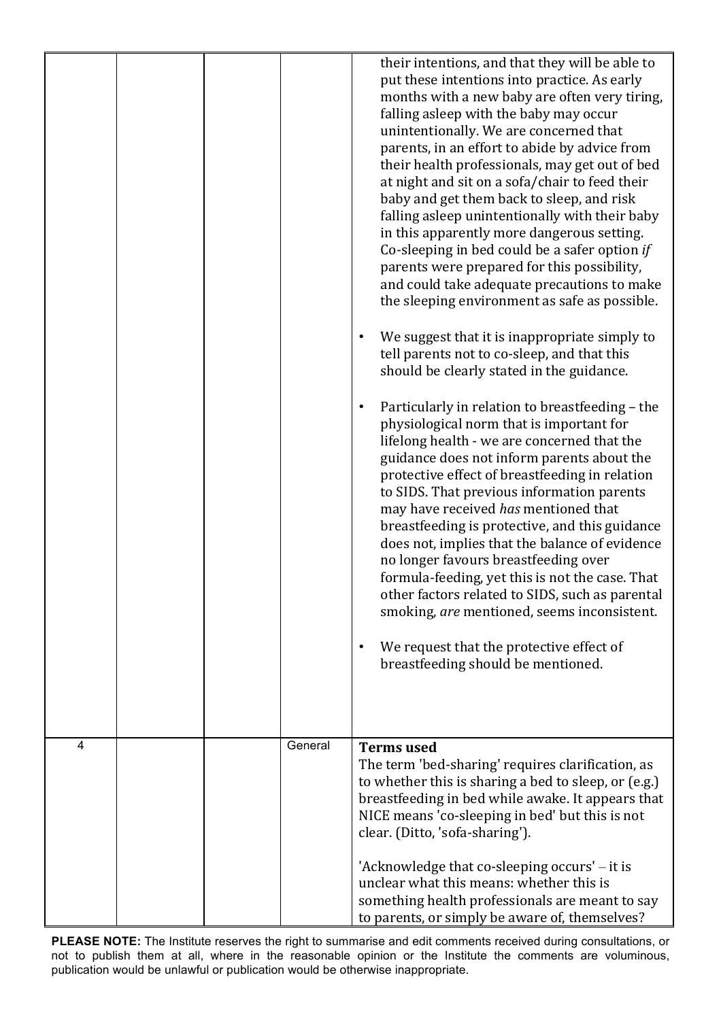|   |  |         | their intentions, and that they will be able to<br>put these intentions into practice. As early<br>months with a new baby are often very tiring,<br>falling asleep with the baby may occur<br>unintentionally. We are concerned that<br>parents, in an effort to abide by advice from<br>their health professionals, may get out of bed<br>at night and sit on a sofa/chair to feed their<br>baby and get them back to sleep, and risk<br>falling asleep unintentionally with their baby<br>in this apparently more dangerous setting.<br>Co-sleeping in bed could be a safer option if<br>parents were prepared for this possibility,<br>and could take adequate precautions to make<br>the sleeping environment as safe as possible.<br>We suggest that it is inappropriate simply to<br>tell parents not to co-sleep, and that this<br>should be clearly stated in the guidance.<br>Particularly in relation to breastfeeding - the<br>physiological norm that is important for<br>lifelong health - we are concerned that the<br>guidance does not inform parents about the<br>protective effect of breastfeeding in relation<br>to SIDS. That previous information parents<br>may have received has mentioned that<br>breastfeeding is protective, and this guidance<br>does not, implies that the balance of evidence<br>no longer favours breastfeeding over<br>formula-feeding, yet this is not the case. That<br>other factors related to SIDS, such as parental<br>smoking, are mentioned, seems inconsistent.<br>We request that the protective effect of<br>breastfeeding should be mentioned. |
|---|--|---------|------------------------------------------------------------------------------------------------------------------------------------------------------------------------------------------------------------------------------------------------------------------------------------------------------------------------------------------------------------------------------------------------------------------------------------------------------------------------------------------------------------------------------------------------------------------------------------------------------------------------------------------------------------------------------------------------------------------------------------------------------------------------------------------------------------------------------------------------------------------------------------------------------------------------------------------------------------------------------------------------------------------------------------------------------------------------------------------------------------------------------------------------------------------------------------------------------------------------------------------------------------------------------------------------------------------------------------------------------------------------------------------------------------------------------------------------------------------------------------------------------------------------------------------------------------------------------------------------------------|
| 4 |  | General | <b>Terms</b> used<br>The term 'bed-sharing' requires clarification, as<br>to whether this is sharing a bed to sleep, or (e.g.)<br>breastfeeding in bed while awake. It appears that<br>NICE means 'co-sleeping in bed' but this is not<br>clear. (Ditto, 'sofa-sharing').<br>'Acknowledge that co-sleeping occurs' - it is<br>unclear what this means: whether this is<br>something health professionals are meant to say<br>to parents, or simply be aware of, themselves?                                                                                                                                                                                                                                                                                                                                                                                                                                                                                                                                                                                                                                                                                                                                                                                                                                                                                                                                                                                                                                                                                                                                |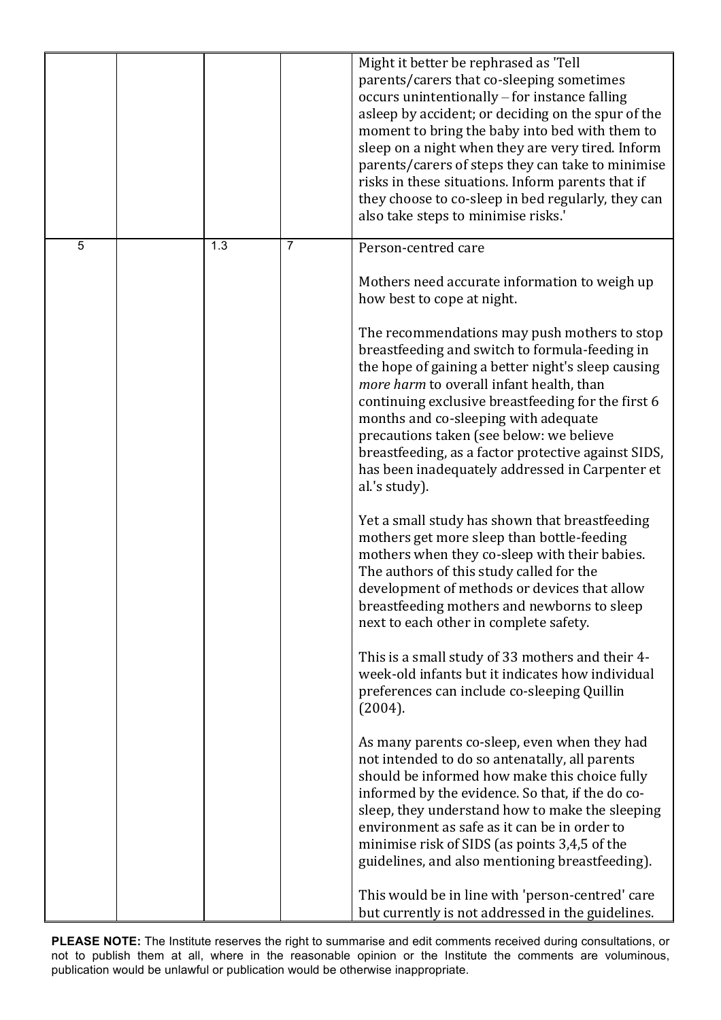|   |     |                | Might it better be rephrased as 'Tell<br>parents/carers that co-sleeping sometimes<br>occurs unintentionally – for instance falling<br>asleep by accident; or deciding on the spur of the<br>moment to bring the baby into bed with them to<br>sleep on a night when they are very tired. Inform<br>parents/carers of steps they can take to minimise<br>risks in these situations. Inform parents that if<br>they choose to co-sleep in bed regularly, they can<br>also take steps to minimise risks.' |
|---|-----|----------------|---------------------------------------------------------------------------------------------------------------------------------------------------------------------------------------------------------------------------------------------------------------------------------------------------------------------------------------------------------------------------------------------------------------------------------------------------------------------------------------------------------|
| 5 | 1.3 | $\overline{7}$ | Person-centred care                                                                                                                                                                                                                                                                                                                                                                                                                                                                                     |
|   |     |                | Mothers need accurate information to weigh up<br>how best to cope at night.                                                                                                                                                                                                                                                                                                                                                                                                                             |
|   |     |                | The recommendations may push mothers to stop<br>breastfeeding and switch to formula-feeding in<br>the hope of gaining a better night's sleep causing<br>more harm to overall infant health, than<br>continuing exclusive breastfeeding for the first 6<br>months and co-sleeping with adequate<br>precautions taken (see below: we believe<br>breastfeeding, as a factor protective against SIDS,<br>has been inadequately addressed in Carpenter et<br>al.'s study).                                   |
|   |     |                | Yet a small study has shown that breastfeeding<br>mothers get more sleep than bottle-feeding<br>mothers when they co-sleep with their babies.<br>The authors of this study called for the<br>development of methods or devices that allow<br>breastfeeding mothers and newborns to sleep<br>next to each other in complete safety.                                                                                                                                                                      |
|   |     |                | This is a small study of 33 mothers and their 4-<br>week-old infants but it indicates how individual<br>preferences can include co-sleeping Quillin<br>(2004).                                                                                                                                                                                                                                                                                                                                          |
|   |     |                | As many parents co-sleep, even when they had<br>not intended to do so antenatally, all parents<br>should be informed how make this choice fully<br>informed by the evidence. So that, if the do co-<br>sleep, they understand how to make the sleeping<br>environment as safe as it can be in order to<br>minimise risk of SIDS (as points 3,4,5 of the<br>guidelines, and also mentioning breastfeeding).                                                                                              |
|   |     |                | This would be in line with 'person-centred' care<br>but currently is not addressed in the guidelines.                                                                                                                                                                                                                                                                                                                                                                                                   |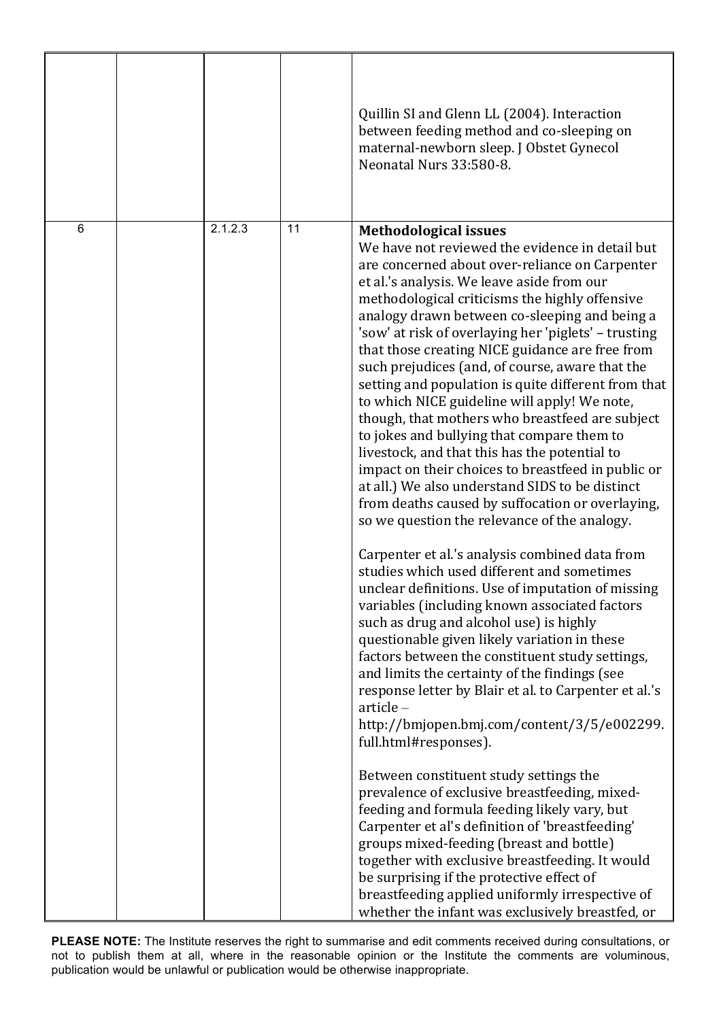|   |         |    | Quillin SI and Glenn LL (2004). Interaction<br>between feeding method and co-sleeping on<br>maternal-newborn sleep. J Obstet Gynecol<br>Neonatal Nurs 33:580-8.                                                                                                                                                                                                                                                                                                                                                                                                                                                                                                                                                                                                                                                                                                                                                                                                                                                                                                                                                                                                                                                                                                                                                                                                                                                                                                                                                                                                                                                                                                                                                                                                                                                                                                                                                              |
|---|---------|----|------------------------------------------------------------------------------------------------------------------------------------------------------------------------------------------------------------------------------------------------------------------------------------------------------------------------------------------------------------------------------------------------------------------------------------------------------------------------------------------------------------------------------------------------------------------------------------------------------------------------------------------------------------------------------------------------------------------------------------------------------------------------------------------------------------------------------------------------------------------------------------------------------------------------------------------------------------------------------------------------------------------------------------------------------------------------------------------------------------------------------------------------------------------------------------------------------------------------------------------------------------------------------------------------------------------------------------------------------------------------------------------------------------------------------------------------------------------------------------------------------------------------------------------------------------------------------------------------------------------------------------------------------------------------------------------------------------------------------------------------------------------------------------------------------------------------------------------------------------------------------------------------------------------------------|
| 6 | 2.1.2.3 | 11 | <b>Methodological issues</b><br>We have not reviewed the evidence in detail but<br>are concerned about over-reliance on Carpenter<br>et al.'s analysis. We leave aside from our<br>methodological criticisms the highly offensive<br>analogy drawn between co-sleeping and being a<br>'sow' at risk of overlaying her 'piglets' - trusting<br>that those creating NICE guidance are free from<br>such prejudices (and, of course, aware that the<br>setting and population is quite different from that<br>to which NICE guideline will apply! We note,<br>though, that mothers who breastfeed are subject<br>to jokes and bullying that compare them to<br>livestock, and that this has the potential to<br>impact on their choices to breastfeed in public or<br>at all.) We also understand SIDS to be distinct<br>from deaths caused by suffocation or overlaying,<br>so we question the relevance of the analogy.<br>Carpenter et al.'s analysis combined data from<br>studies which used different and sometimes<br>unclear definitions. Use of imputation of missing<br>variables (including known associated factors<br>such as drug and alcohol use) is highly<br>questionable given likely variation in these<br>factors between the constituent study settings,<br>and limits the certainty of the findings (see<br>response letter by Blair et al. to Carpenter et al.'s<br>$article -$<br>http://bmjopen.bmj.com/content/3/5/e002299.<br>full.html#responses).<br>Between constituent study settings the<br>prevalence of exclusive breastfeeding, mixed-<br>feeding and formula feeding likely vary, but<br>Carpenter et al's definition of 'breastfeeding'<br>groups mixed-feeding (breast and bottle)<br>together with exclusive breastfeeding. It would<br>be surprising if the protective effect of<br>breastfeeding applied uniformly irrespective of<br>whether the infant was exclusively breastfed, or |